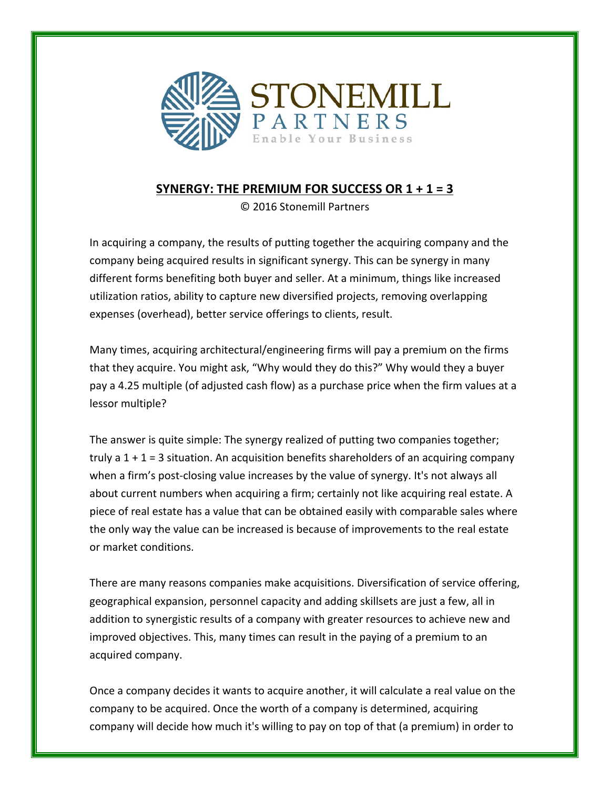

## **SYNERGY: THE PREMIUM FOR SUCCESS OR**  $1 + 1 = 3$

© 2016 Stonemill Partners

In acquiring a company, the results of putting together the acquiring company and the company being acquired results in significant synergy. This can be synergy in many different forms benefiting both buyer and seller. At a minimum, things like increased utilization ratios, ability to capture new diversified projects, removing overlapping expenses (overhead), better service offerings to clients, result.

Many times, acquiring architectural/engineering firms will pay a premium on the firms that they acquire. You might ask, "Why would they do this?" Why would they a buyer pay a 4.25 multiple (of adjusted cash flow) as a purchase price when the firm values at a lessor multiple? 

The answer is quite simple: The synergy realized of putting two companies together; truly a  $1 + 1 = 3$  situation. An acquisition benefits shareholders of an acquiring company when a firm's post-closing value increases by the value of synergy. It's not always all about current numbers when acquiring a firm; certainly not like acquiring real estate. A piece of real estate has a value that can be obtained easily with comparable sales where the only way the value can be increased is because of improvements to the real estate or market conditions.

There are many reasons companies make acquisitions. Diversification of service offering, geographical expansion, personnel capacity and adding skillsets are just a few, all in addition to synergistic results of a company with greater resources to achieve new and improved objectives. This, many times can result in the paying of a premium to an acquired company.

Once a company decides it wants to acquire another, it will calculate a real value on the company to be acquired. Once the worth of a company is determined, acquiring company will decide how much it's willing to pay on top of that (a premium) in order to